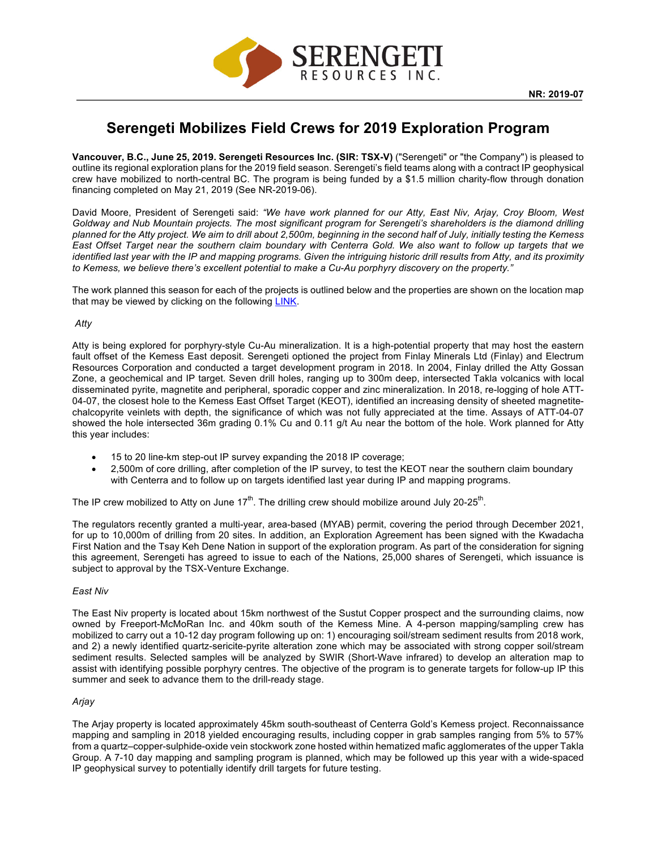

# **Serengeti Mobilizes Field Crews for 2019 Exploration Program**

**Vancouver, B.C., June 25, 2019. Serengeti Resources Inc. (SIR: TSX-V)** ("Serengeti" or "the Company") is pleased to outline its regional exploration plans for the 2019 field season. Serengeti's field teams along with a contract IP geophysical crew have mobilized to north-central BC. The program is being funded by a \$1.5 million charity-flow through donation financing completed on May 21, 2019 (See NR-2019-06).

David Moore, President of Serengeti said: *"We have work planned for our Atty, East Niv, Arjay, Croy Bloom, West Goldway and Nub Mountain projects. The most significant program for Serengeti's shareholders is the diamond drilling planned for the Atty project. We aim to drill about 2,500m, beginning in the second half of July, initially testing the Kemess East Offset Target near the southern claim boundary with Centerra Gold. We also want to follow up targets that we identified last year with the IP and mapping programs. Given the intriguing historic drill results from Atty, and its proximity to Kemess, we believe there's excellent potential to make a Cu-Au porphyry discovery on the property."*

The work planned this season for each of the projects is outlined below and the properties are shown on the location map that may be viewed by clicking on the following LINK.

## *Atty*

Atty is being explored for porphyry-style Cu-Au mineralization. It is a high-potential property that may host the eastern fault offset of the Kemess East deposit. Serengeti optioned the project from Finlay Minerals Ltd (Finlay) and Electrum Resources Corporation and conducted a target development program in 2018. In 2004, Finlay drilled the Atty Gossan Zone, a geochemical and IP target. Seven drill holes, ranging up to 300m deep, intersected Takla volcanics with local disseminated pyrite, magnetite and peripheral, sporadic copper and zinc mineralization. In 2018, re-logging of hole ATT-04-07, the closest hole to the Kemess East Offset Target (KEOT), identified an increasing density of sheeted magnetitechalcopyrite veinlets with depth, the significance of which was not fully appreciated at the time. Assays of ATT-04-07 showed the hole intersected 36m grading 0.1% Cu and 0.11 g/t Au near the bottom of the hole. Work planned for Atty this year includes:

- 15 to 20 line-km step-out IP survey expanding the 2018 IP coverage;
- 2,500m of core drilling, after completion of the IP survey, to test the KEOT near the southern claim boundary with Centerra and to follow up on targets identified last year during IP and mapping programs.

The IP crew mobilized to Atty on June 17<sup>th</sup>. The drilling crew should mobilize around July 20-25<sup>th</sup>.

The regulators recently granted a multi-year, area-based (MYAB) permit, covering the period through December 2021, for up to 10,000m of drilling from 20 sites. In addition, an Exploration Agreement has been signed with the Kwadacha First Nation and the Tsay Keh Dene Nation in support of the exploration program. As part of the consideration for signing this agreement, Serengeti has agreed to issue to each of the Nations, 25,000 shares of Serengeti, which issuance is subject to approval by the TSX-Venture Exchange.

## *East Niv*

The East Niv property is located about 15km northwest of the Sustut Copper prospect and the surrounding claims, now owned by Freeport-McMoRan Inc. and 40km south of the Kemess Mine. A 4-person mapping/sampling crew has mobilized to carry out a 10-12 day program following up on: 1) encouraging soil/stream sediment results from 2018 work, and 2) a newly identified quartz-sericite-pyrite alteration zone which may be associated with strong copper soil/stream sediment results. Selected samples will be analyzed by SWIR (Short-Wave infrared) to develop an alteration map to assist with identifying possible porphyry centres. The objective of the program is to generate targets for follow-up IP this summer and seek to advance them to the drill-ready stage.

# *Arjay*

The Arjay property is located approximately 45km south-southeast of Centerra Gold's Kemess project. Reconnaissance mapping and sampling in 2018 yielded encouraging results, including copper in grab samples ranging from 5% to 57% from a quartz–copper-sulphide-oxide vein stockwork zone hosted within hematized mafic agglomerates of the upper Takla Group. A 7-10 day mapping and sampling program is planned, which may be followed up this year with a wide-spaced IP geophysical survey to potentially identify drill targets for future testing.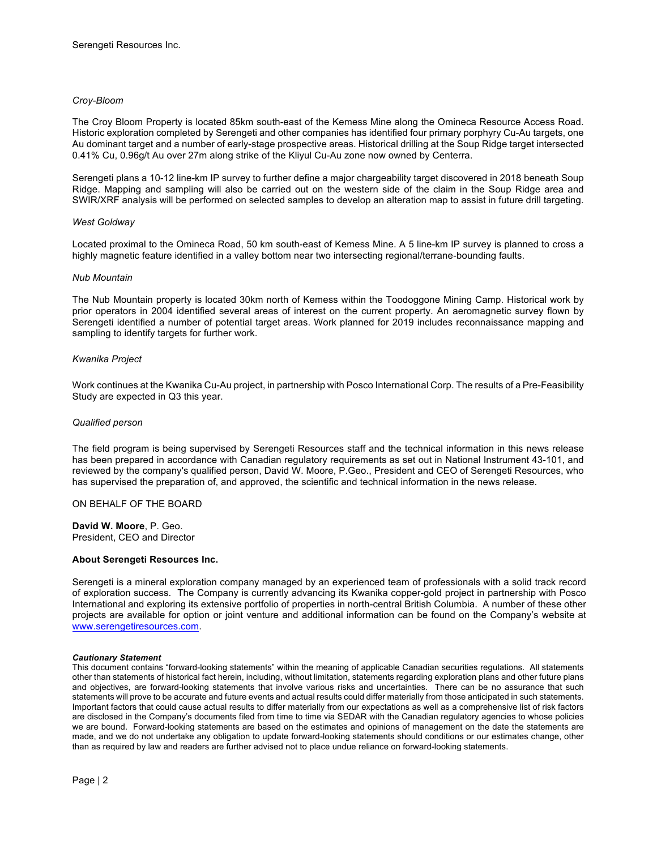#### *Croy-Bloom*

The Croy Bloom Property is located 85km south-east of the Kemess Mine along the Omineca Resource Access Road. Historic exploration completed by Serengeti and other companies has identified four primary porphyry Cu-Au targets, one Au dominant target and a number of early-stage prospective areas. Historical drilling at the Soup Ridge target intersected 0.41% Cu, 0.96g/t Au over 27m along strike of the Kliyul Cu-Au zone now owned by Centerra.

Serengeti plans a 10-12 line-km IP survey to further define a major chargeability target discovered in 2018 beneath Soup Ridge. Mapping and sampling will also be carried out on the western side of the claim in the Soup Ridge area and SWIR/XRF analysis will be performed on selected samples to develop an alteration map to assist in future drill targeting.

#### *West Goldway*

Located proximal to the Omineca Road, 50 km south-east of Kemess Mine. A 5 line-km IP survey is planned to cross a highly magnetic feature identified in a valley bottom near two intersecting regional/terrane-bounding faults.

#### *Nub Mountain*

The Nub Mountain property is located 30km north of Kemess within the Toodoggone Mining Camp. Historical work by prior operators in 2004 identified several areas of interest on the current property. An aeromagnetic survey flown by Serengeti identified a number of potential target areas. Work planned for 2019 includes reconnaissance mapping and sampling to identify targets for further work.

#### *Kwanika Project*

Work continues at the Kwanika Cu-Au project, in partnership with Posco International Corp. The results of a Pre-Feasibility Study are expected in Q3 this year.

#### *Qualified person*

The field program is being supervised by Serengeti Resources staff and the technical information in this news release has been prepared in accordance with Canadian regulatory requirements as set out in National Instrument 43-101, and reviewed by the company's qualified person, David W. Moore, P.Geo., President and CEO of Serengeti Resources, who has supervised the preparation of, and approved, the scientific and technical information in the news release.

ON BEHALF OF THE BOARD

**David W. Moore**, P. Geo. President, CEO and Director

#### **About Serengeti Resources Inc.**

Serengeti is a mineral exploration company managed by an experienced team of professionals with a solid track record of exploration success. The Company is currently advancing its Kwanika copper-gold project in partnership with Posco International and exploring its extensive portfolio of properties in north-central British Columbia. A number of these other projects are available for option or joint venture and additional information can be found on the Company's website at www.serengetiresources.com.

#### *Cautionary Statement*

This document contains "forward-looking statements" within the meaning of applicable Canadian securities regulations. All statements other than statements of historical fact herein, including, without limitation, statements regarding exploration plans and other future plans and objectives, are forward-looking statements that involve various risks and uncertainties. There can be no assurance that such statements will prove to be accurate and future events and actual results could differ materially from those anticipated in such statements. Important factors that could cause actual results to differ materially from our expectations as well as a comprehensive list of risk factors are disclosed in the Company's documents filed from time to time via SEDAR with the Canadian regulatory agencies to whose policies we are bound. Forward-looking statements are based on the estimates and opinions of management on the date the statements are made, and we do not undertake any obligation to update forward-looking statements should conditions or our estimates change, other than as required by law and readers are further advised not to place undue reliance on forward-looking statements.